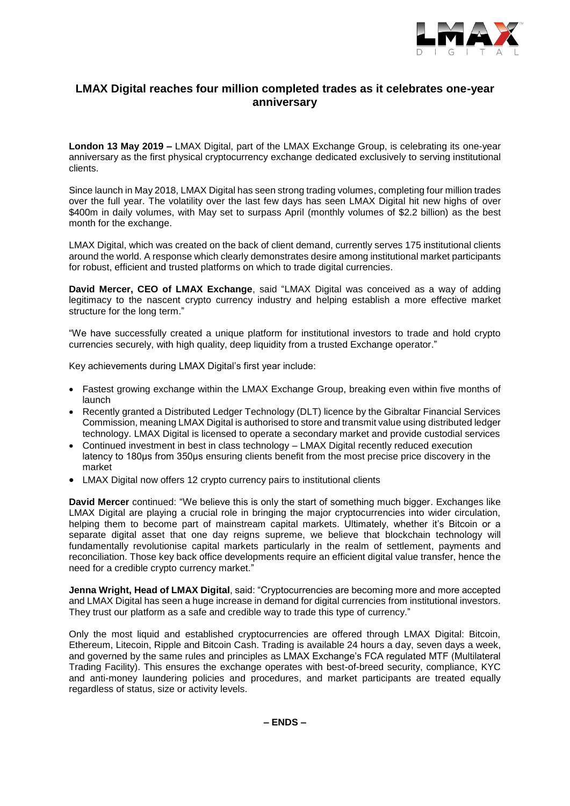

# **LMAX Digital reaches four million completed trades as it celebrates one-year anniversary**

**London 13 May 2019 –** LMAX Digital, part of the LMAX Exchange Group, is celebrating its one-year anniversary as the first physical cryptocurrency exchange dedicated exclusively to serving institutional clients.

Since launch in May 2018, LMAX Digital has seen strong trading volumes, completing four million trades over the full year. The volatility over the last few days has seen LMAX Digital hit new highs of over \$400m in daily volumes, with May set to surpass April (monthly volumes of \$2.2 billion) as the best month for the exchange.

LMAX Digital, which was created on the back of client demand, currently serves 175 institutional clients around the world. A response which clearly demonstrates desire among institutional market participants for robust, efficient and trusted platforms on which to trade digital currencies.

**David Mercer, CEO of LMAX Exchange**, said "LMAX Digital was conceived as a way of adding legitimacy to the nascent crypto currency industry and helping establish a more effective market structure for the long term."

"We have successfully created a unique platform for institutional investors to trade and hold crypto currencies securely, with high quality, deep liquidity from a trusted Exchange operator."

Key achievements during LMAX Digital's first year include:

- Fastest growing exchange within the LMAX Exchange Group, breaking even within five months of launch
- Recently granted a Distributed Ledger Technology (DLT) licence by the Gibraltar Financial Services Commission, meaning LMAX Digital is authorised to store and transmit value using distributed ledger technology. LMAX Digital is licensed to operate a secondary market and provide custodial services
- Continued investment in best in class technology LMAX Digital recently reduced execution latency to 180μs from 350μs ensuring clients benefit from the most precise price discovery in the market
- LMAX Digital now offers 12 crypto currency pairs to institutional clients

**David Mercer** continued: "We believe this is only the start of something much bigger. Exchanges like LMAX Digital are playing a crucial role in bringing the major cryptocurrencies into wider circulation, helping them to become part of mainstream capital markets. Ultimately, whether it's Bitcoin or a separate digital asset that one day reigns supreme, we believe that blockchain technology will fundamentally revolutionise capital markets particularly in the realm of settlement, payments and reconciliation. Those key back office developments require an efficient digital value transfer, hence the need for a credible crypto currency market."

**Jenna Wright, Head of LMAX Digital**, said: "Cryptocurrencies are becoming more and more accepted and LMAX Digital has seen a huge increase in demand for digital currencies from institutional investors. They trust our platform as a safe and credible way to trade this type of currency."

Only the most liquid and established cryptocurrencies are offered through LMAX Digital: Bitcoin, Ethereum, Litecoin, Ripple and Bitcoin Cash. Trading is available 24 hours a day, seven days a week, and governed by the same rules and principles as LMAX Exchange's FCA regulated MTF (Multilateral Trading Facility). This ensures the exchange operates with best-of-breed security, compliance, KYC and anti-money laundering policies and procedures, and market participants are treated equally regardless of status, size or activity levels.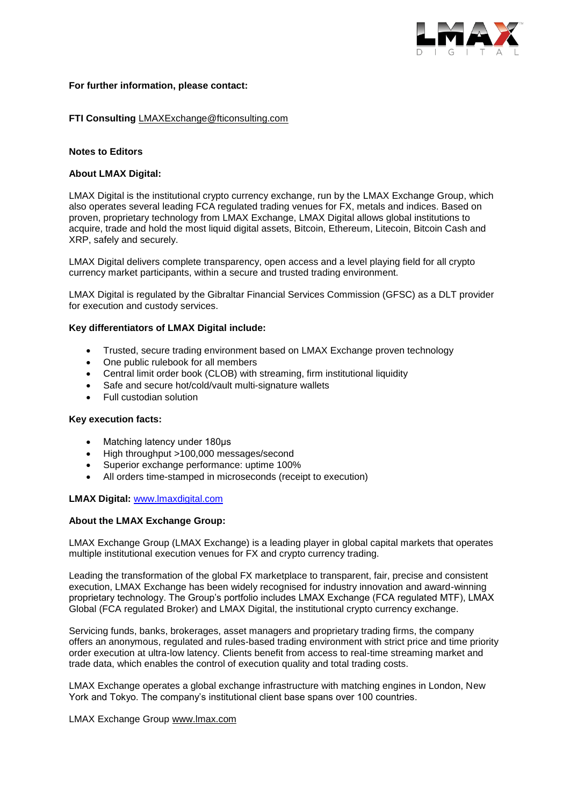

## **For further information, please contact:**

# **FTI Consulting** [LMAXExchange@fticonsulting.com](mailto:LMAXExchange@fticonsulting.com)

## **Notes to Editors**

# **About LMAX Digital:**

[LMAX Digital](http://www.lmaxdigital.com/) is the institutional crypto currency exchange, run by the [LMAX Exchange Group,](http://www.lmax.com/) which also operates several leading FCA regulated trading venues for FX, metals and indices. Based on proven, proprietary technology from LMAX Exchange, LMAX Digital allows global institutions to acquire, trade and hold the most liquid digital assets, Bitcoin, Ethereum, Litecoin, Bitcoin Cash and XRP, safely and securely.

LMAX Digital delivers complete transparency, open access and a level playing field for all crypto currency market participants, within a secure and trusted trading environment.

LMAX Digital is regulated by the Gibraltar Financial Services Commission (GFSC) as a DLT provider for execution and custody services.

## **Key differentiators of LMAX Digital include:**

- Trusted, secure trading environment based on LMAX Exchange proven technology
- One public rulebook for all members
- Central limit order book (CLOB) with streaming, firm institutional liquidity
- Safe and secure hot/cold/vault multi-signature wallets
- Full custodian solution

#### **Key execution facts:**

- Matching latency under 180μs
- High throughput >100,000 messages/second
- Superior exchange performance: uptime 100%
- All orders time-stamped in microseconds (receipt to execution)

## **LMAX Digital:** [www.lmaxdigital.com](http://www.lmaxdigital.com/)

## **About the LMAX Exchange Group:**

LMAX Exchange Group (LMAX Exchange) is a leading player in global capital markets that operates multiple institutional execution venues for FX and crypto currency trading.

Leading the transformation of the global FX marketplace to transparent, fair, precise and consistent execution, LMAX Exchange has been widely recognised for industry innovation and award-winning proprietary technology. The Group's portfolio includes LMAX Exchange (FCA regulated MTF), LMAX Global (FCA regulated Broker) and LMAX Digital, the institutional crypto currency exchange.

Servicing funds, banks, brokerages, asset managers and proprietary trading firms, the company offers an anonymous, regulated and rules-based trading environment with strict price and time priority order execution at ultra-low latency. Clients benefit from access to real-time streaming market and trade data, which enables the control of execution quality and total trading costs.

LMAX Exchange operates a global exchange infrastructure with matching engines in London, New York and Tokyo. The company's institutional client base spans over 100 countries.

#### LMAX Exchange Group [www.lmax.com](http://www.lmax.com/)